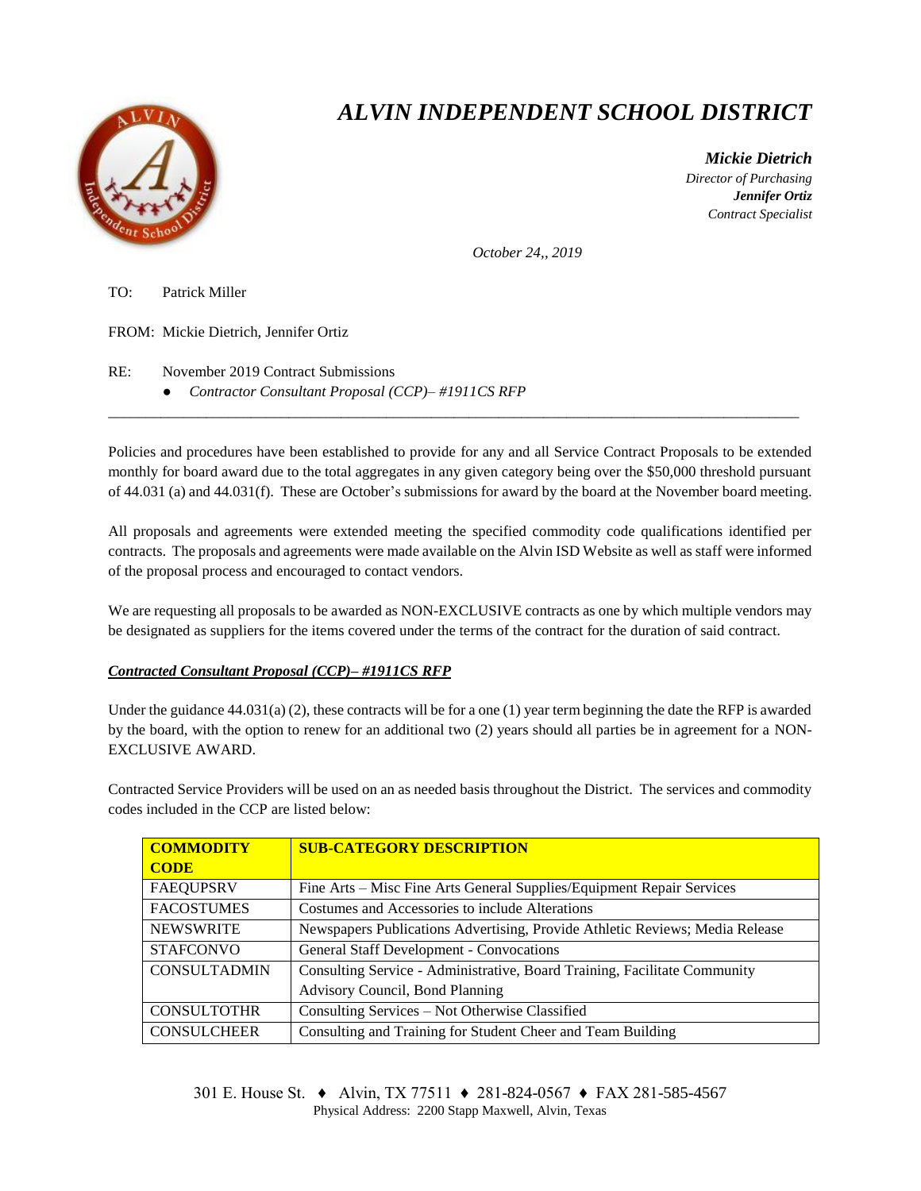

## *ALVIN INDEPENDENT SCHOOL DISTRICT*

 *Mickie Dietrich Director of Purchasing Jennifer Ortiz Contract Specialist*

*October 24,, 2019*

TO: Patrick Miller

FROM: Mickie Dietrich, Jennifer Ortiz

RE: November 2019 Contract Submissions

● *Contractor Consultant Proposal (CCP)– #1911CS RFP*

Policies and procedures have been established to provide for any and all Service Contract Proposals to be extended monthly for board award due to the total aggregates in any given category being over the \$50,000 threshold pursuant of 44.031 (a) and 44.031(f). These are October's submissions for award by the board at the November board meeting.

 $\overline{a}$  , and the state of the state of the state of the state of the state of the state of the state of the state of the state of the state of the state of the state of the state of the state of the state of the state o

All proposals and agreements were extended meeting the specified commodity code qualifications identified per contracts. The proposals and agreements were made available on the Alvin ISD Website as well as staff were informed of the proposal process and encouraged to contact vendors.

We are requesting all proposals to be awarded as NON-EXCLUSIVE contracts as one by which multiple vendors may be designated as suppliers for the items covered under the terms of the contract for the duration of said contract.

## *Contracted Consultant Proposal (CCP)– #1911CS RFP*

Under the guidance  $44.031(a)$  (2), these contracts will be for a one (1) year term beginning the date the RFP is awarded by the board, with the option to renew for an additional two (2) years should all parties be in agreement for a NON-EXCLUSIVE AWARD.

Contracted Service Providers will be used on an as needed basis throughout the District. The services and commodity codes included in the CCP are listed below:

| <b>COMMODITY</b>    | <b>SUB-CATEGORY DESCRIPTION</b>                                              |
|---------------------|------------------------------------------------------------------------------|
| <b>CODE</b>         |                                                                              |
| <b>FAEQUPSRV</b>    | Fine Arts – Misc Fine Arts General Supplies/Equipment Repair Services        |
| <b>FACOSTUMES</b>   | Costumes and Accessories to include Alterations                              |
| <b>NEWSWRITE</b>    | Newspapers Publications Advertising, Provide Athletic Reviews; Media Release |
| <b>STAFCONVO</b>    | <b>General Staff Development - Convocations</b>                              |
| <b>CONSULTADMIN</b> | Consulting Service - Administrative, Board Training, Facilitate Community    |
|                     | Advisory Council, Bond Planning                                              |
| <b>CONSULTOTHR</b>  | Consulting Services - Not Otherwise Classified                               |
| <b>CONSULCHEER</b>  | Consulting and Training for Student Cheer and Team Building                  |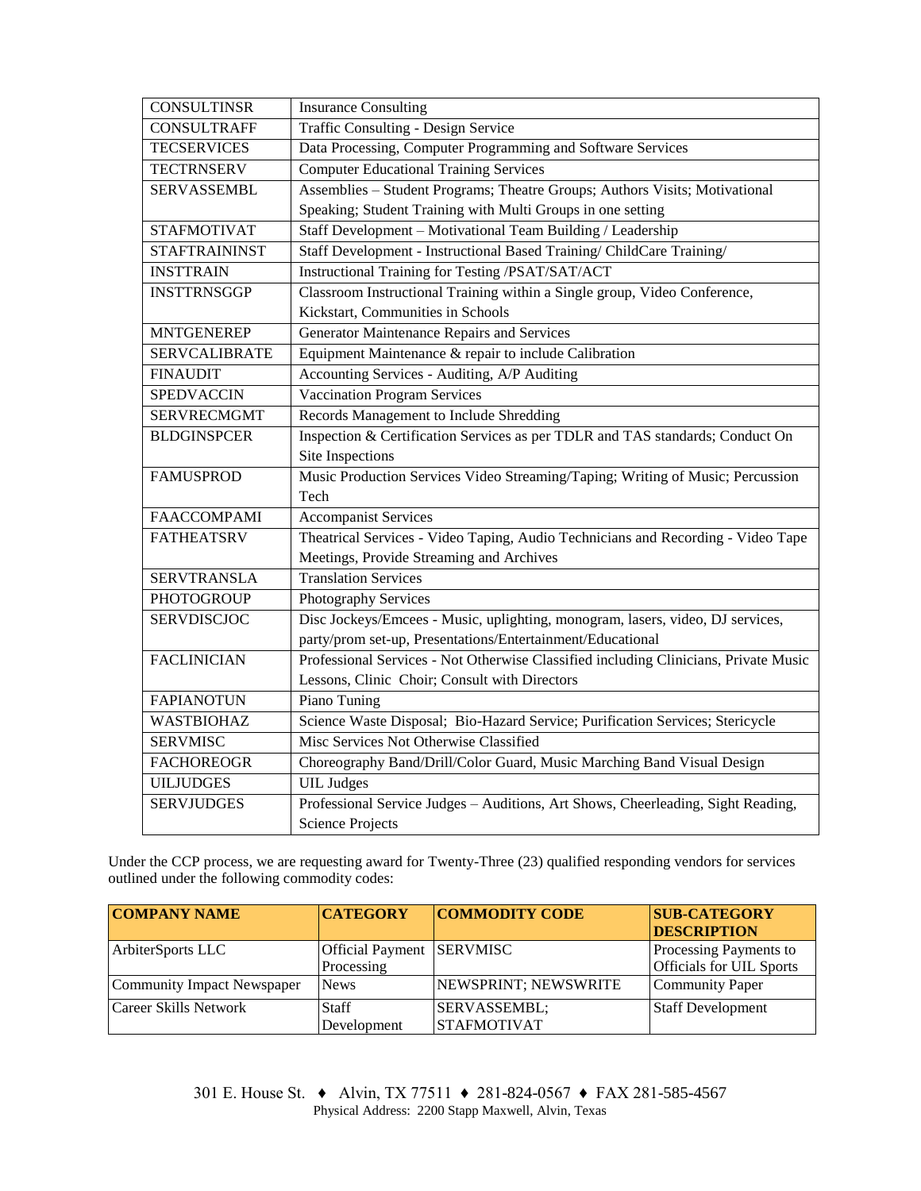| <b>CONSULTINSR</b>   | <b>Insurance Consulting</b>                                                          |  |  |  |
|----------------------|--------------------------------------------------------------------------------------|--|--|--|
| <b>CONSULTRAFF</b>   | Traffic Consulting - Design Service                                                  |  |  |  |
| <b>TECSERVICES</b>   | Data Processing, Computer Programming and Software Services                          |  |  |  |
| <b>TECTRNSERV</b>    | <b>Computer Educational Training Services</b>                                        |  |  |  |
| <b>SERVASSEMBL</b>   | Assemblies - Student Programs; Theatre Groups; Authors Visits; Motivational          |  |  |  |
|                      | Speaking; Student Training with Multi Groups in one setting                          |  |  |  |
| <b>STAFMOTIVAT</b>   | Staff Development - Motivational Team Building / Leadership                          |  |  |  |
| <b>STAFTRAININST</b> | Staff Development - Instructional Based Training/ ChildCare Training/                |  |  |  |
| <b>INSTTRAIN</b>     | Instructional Training for Testing /PSAT/SAT/ACT                                     |  |  |  |
| <b>INSTTRNSGGP</b>   | Classroom Instructional Training within a Single group, Video Conference,            |  |  |  |
|                      | Kickstart, Communities in Schools                                                    |  |  |  |
| <b>MNTGENEREP</b>    | Generator Maintenance Repairs and Services                                           |  |  |  |
| <b>SERVCALIBRATE</b> | Equipment Maintenance & repair to include Calibration                                |  |  |  |
| <b>FINAUDIT</b>      | Accounting Services - Auditing, A/P Auditing                                         |  |  |  |
| <b>SPEDVACCIN</b>    | <b>Vaccination Program Services</b>                                                  |  |  |  |
| <b>SERVRECMGMT</b>   | Records Management to Include Shredding                                              |  |  |  |
| <b>BLDGINSPCER</b>   | Inspection & Certification Services as per TDLR and TAS standards; Conduct On        |  |  |  |
|                      | Site Inspections                                                                     |  |  |  |
| <b>FAMUSPROD</b>     | Music Production Services Video Streaming/Taping; Writing of Music; Percussion       |  |  |  |
|                      | Tech                                                                                 |  |  |  |
| <b>FAACCOMPAMI</b>   | <b>Accompanist Services</b>                                                          |  |  |  |
| <b>FATHEATSRV</b>    | Theatrical Services - Video Taping, Audio Technicians and Recording - Video Tape     |  |  |  |
|                      | Meetings, Provide Streaming and Archives                                             |  |  |  |
| <b>SERVTRANSLA</b>   | <b>Translation Services</b>                                                          |  |  |  |
| <b>PHOTOGROUP</b>    | Photography Services                                                                 |  |  |  |
| <b>SERVDISCJOC</b>   | Disc Jockeys/Emcees - Music, uplighting, monogram, lasers, video, DJ services,       |  |  |  |
|                      | party/prom set-up, Presentations/Entertainment/Educational                           |  |  |  |
| <b>FACLINICIAN</b>   | Professional Services - Not Otherwise Classified including Clinicians, Private Music |  |  |  |
|                      | Lessons, Clinic Choir; Consult with Directors                                        |  |  |  |
| <b>FAPIANOTUN</b>    | Piano Tuning                                                                         |  |  |  |
| <b>WASTBIOHAZ</b>    | Science Waste Disposal; Bio-Hazard Service; Purification Services; Stericycle        |  |  |  |
| <b>SERVMISC</b>      | Misc Services Not Otherwise Classified                                               |  |  |  |
| <b>FACHOREOGR</b>    | Choreography Band/Drill/Color Guard, Music Marching Band Visual Design               |  |  |  |
| <b>UILJUDGES</b>     | <b>UIL</b> Judges                                                                    |  |  |  |
| <b>SERVJUDGES</b>    | Professional Service Judges - Auditions, Art Shows, Cheerleading, Sight Reading,     |  |  |  |
|                      | <b>Science Projects</b>                                                              |  |  |  |

Under the CCP process, we are requesting award for Twenty-Three (23) qualified responding vendors for services outlined under the following commodity codes:

| <b>COMPANY NAME</b>        | <b>CATEGORY</b>           | <b>COMMODITY CODE</b> | <b>SUB-CATEGORY</b>      |
|----------------------------|---------------------------|-----------------------|--------------------------|
|                            |                           |                       | <b>DESCRIPTION</b>       |
| ArbiterSports LLC          | Official Payment SERVMISC |                       | Processing Payments to   |
|                            | Processing                |                       | Officials for UIL Sports |
| Community Impact Newspaper | <b>News</b>               | NEWSPRINT; NEWSWRITE  | <b>Community Paper</b>   |
| Career Skills Network      | <b>Staff</b>              | SERVASSEMBL;          | <b>Staff Development</b> |
|                            | Development               | <b>STAFMOTIVAT</b>    |                          |